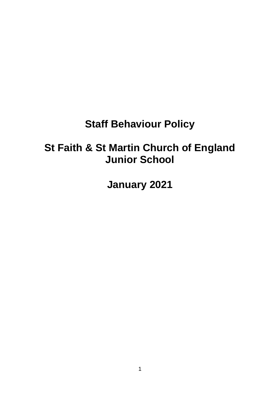## **Staff Behaviour Policy**

# **St Faith & St Martin Church of England Junior School**

**January 2021**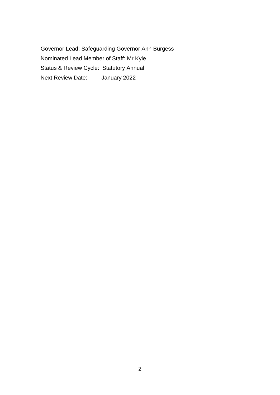Governor Lead: Safeguarding Governor Ann Burgess Nominated Lead Member of Staff: Mr Kyle Status & Review Cycle: Statutory Annual Next Review Date: January 2022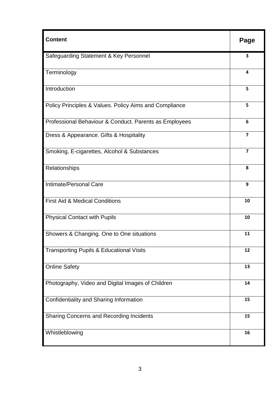| <b>Content</b>                                         | Page                    |
|--------------------------------------------------------|-------------------------|
| Safeguarding Statement & Key Personnel                 | 3                       |
| Terminology                                            | 4                       |
| Introduction                                           | 5                       |
| Policy Principles & Values. Policy Aims and Compliance | 5                       |
| Professional Behaviour & Conduct. Parents as Employees | 6                       |
| Dress & Appearance. Gifts & Hospitality                | $\overline{\mathbf{z}}$ |
| Smoking, E-cigarettes, Alcohol & Substances            | $\overline{7}$          |
| Relationships                                          | 8                       |
| Intimate/Personal Care                                 | 9                       |
| <b>First Aid &amp; Medical Conditions</b>              | 10                      |
| <b>Physical Contact with Pupils</b>                    | 10                      |
| Showers & Changing. One to One situations              | 11                      |
| <b>Transporting Pupils &amp; Educational Visits</b>    | 12                      |
| <b>Online Safety</b>                                   | 13                      |
| Photography, Video and Digital Images of Children      | 14                      |
| Confidentiality and Sharing Information                | 15                      |
| <b>Sharing Concerns and Recording Incidents</b>        | 15                      |
| Whistleblowing                                         | 16                      |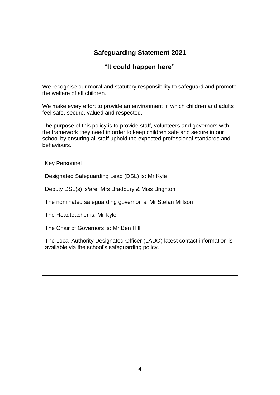## **Safeguarding Statement 2021**

## "**It could happen here"**

We recognise our moral and statutory responsibility to safeguard and promote the welfare of all children.

We make every effort to provide an environment in which children and adults feel safe, secure, valued and respected.

The purpose of this policy is to provide staff, volunteers and governors with the framework they need in order to keep children safe and secure in our school by ensuring all staff uphold the expected professional standards and behaviours.

Key Personnel

Designated Safeguarding Lead (DSL) is: Mr Kyle

Deputy DSL(s) is/are: Mrs Bradbury & Miss Brighton

The nominated safeguarding governor is: Mr Stefan Millson

The Headteacher is: Mr Kyle

The Chair of Governors is: Mr Ben Hill

The Local Authority Designated Officer (LADO) latest contact information is available via the school's safeguarding policy.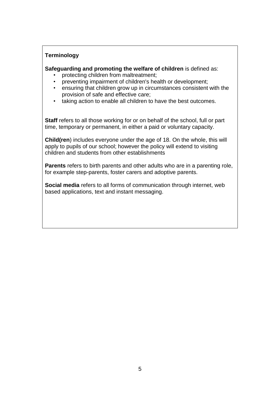## **Terminology**

**Safeguarding and promoting the welfare of children** is defined as:

- protecting children from maltreatment;
- preventing impairment of children's health or development;
- ensuring that children grow up in circumstances consistent with the provision of safe and effective care;
- taking action to enable all children to have the best outcomes.

**Staff** refers to all those working for or on behalf of the school, full or part time, temporary or permanent, in either a paid or voluntary capacity.

**Child(ren**) includes everyone under the age of 18. On the whole, this will apply to pupils of our school; however the policy will extend to visiting children and students from other establishments

**Parents** refers to birth parents and other adults who are in a parenting role, for example step-parents, foster carers and adoptive parents.

**Social media** refers to all forms of communication through internet, web based applications, text and instant messaging.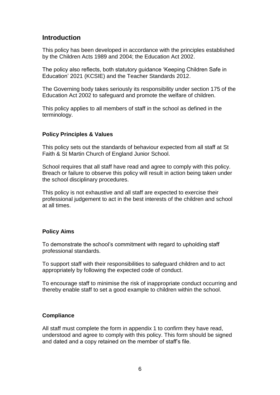## **Introduction**

This policy has been developed in accordance with the principles established by the Children Acts 1989 and 2004; the Education Act 2002.

The policy also reflects, both statutory guidance 'Keeping Children Safe in Education' 2021 (KCSIE) and the Teacher Standards 2012.

The Governing body takes seriously its responsibility under section 175 of the Education Act 2002 to safeguard and promote the welfare of children.

This policy applies to all members of staff in the school as defined in the terminology.

#### **Policy Principles & Values**

This policy sets out the standards of behaviour expected from all staff at St Faith & St Martin Church of England Junior School.

School requires that all staff have read and agree to comply with this policy. Breach or failure to observe this policy will result in action being taken under the school disciplinary procedures.

This policy is not exhaustive and all staff are expected to exercise their professional judgement to act in the best interests of the children and school at all times.

#### **Policy Aims**

To demonstrate the school's commitment with regard to upholding staff professional standards.

To support staff with their responsibilities to safeguard children and to act appropriately by following the expected code of conduct.

To encourage staff to minimise the risk of inappropriate conduct occurring and thereby enable staff to set a good example to children within the school.

#### **Compliance**

All staff must complete the form in appendix 1 to confirm they have read, understood and agree to comply with this policy. This form should be signed and dated and a copy retained on the member of staff's file.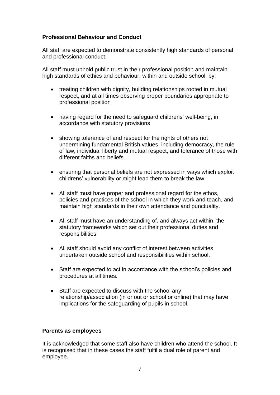#### **Professional Behaviour and Conduct**

All staff are expected to demonstrate consistently high standards of personal and professional conduct.

All staff must uphold public trust in their professional position and maintain high standards of ethics and behaviour, within and outside school, by:

- treating children with dignity, building relationships rooted in mutual respect, and at all times observing proper boundaries appropriate to professional position
- having regard for the need to safeguard childrens' well-being, in accordance with statutory provisions
- showing tolerance of and respect for the rights of others not undermining fundamental British values, including democracy, the rule of law, individual liberty and mutual respect, and tolerance of those with different faiths and beliefs
- ensuring that personal beliefs are not expressed in ways which exploit childrens' vulnerability or might lead them to break the law
- All staff must have proper and professional regard for the ethos, policies and practices of the school in which they work and teach, and maintain high standards in their own attendance and punctuality.
- All staff must have an understanding of, and always act within, the statutory frameworks which set out their professional duties and responsibilities
- All staff should avoid any conflict of interest between activities undertaken outside school and responsibilities within school.
- Staff are expected to act in accordance with the school's policies and procedures at all times.
- Staff are expected to discuss with the school any relationship/association (in or out or school or online) that may have implications for the safeguarding of pupils in school.

#### **Parents as employees**

It is acknowledged that some staff also have children who attend the school. It is recognised that in these cases the staff fulfil a dual role of parent and employee.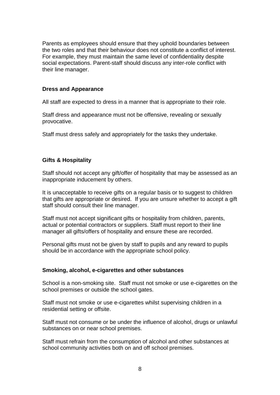Parents as employees should ensure that they uphold boundaries between the two roles and that their behaviour does not constitute a conflict of interest. For example, they must maintain the same level of confidentiality despite social expectations. Parent-staff should discuss any inter-role conflict with their line manager.

#### **Dress and Appearance**

All staff are expected to dress in a manner that is appropriate to their role.

Staff dress and appearance must not be offensive, revealing or sexually provocative.

Staff must dress safely and appropriately for the tasks they undertake.

#### **Gifts & Hospitality**

Staff should not accept any gift/offer of hospitality that may be assessed as an inappropriate inducement by others.

It is unacceptable to receive gifts on a regular basis or to suggest to children that gifts are appropriate or desired. If you are unsure whether to accept a gift staff should consult their line manager.

Staff must not accept significant gifts or hospitality from children, parents, actual or potential contractors or suppliers. Staff must report to their line manager all gifts/offers of hospitality and ensure these are recorded.

Personal gifts must not be given by staff to pupils and any reward to pupils should be in accordance with the appropriate school policy.

#### **Smoking, alcohol, e-cigarettes and other substances**

School is a non-smoking site. Staff must not smoke or use e-cigarettes on the school premises or outside the school gates.

Staff must not smoke or use e-cigarettes whilst supervising children in a residential setting or offsite.

Staff must not consume or be under the influence of alcohol, drugs or unlawful substances on or near school premises.

Staff must refrain from the consumption of alcohol and other substances at school community activities both on and off school premises.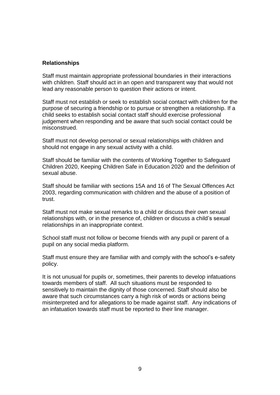#### **Relationships**

Staff must maintain appropriate professional boundaries in their interactions with children. Staff should act in an open and transparent way that would not lead any reasonable person to question their actions or intent.

Staff must not establish or seek to establish social contact with children for the purpose of securing a friendship or to pursue or strengthen a relationship. If a child seeks to establish social contact staff should exercise professional judgement when responding and be aware that such social contact could be misconstrued.

Staff must not develop personal or sexual relationships with children and should not engage in any sexual activity with a child.

Staff should be familiar with the contents of Working Together to Safeguard Children 2020, Keeping Children Safe in Education 2020 and the definition of sexual abuse.

Staff should be familiar with sections 15A and 16 of The Sexual Offences Act 2003, regarding communication with children and the abuse of a position of trust.

Staff must not make sexual remarks to a child or discuss their own sexual relationships with, or in the presence of, children or discuss a child's sexual relationships in an inappropriate context.

School staff must not follow or become friends with any pupil or parent of a pupil on any social media platform.

Staff must ensure they are familiar with and comply with the school's e-safety policy.

It is not unusual for pupils or, sometimes, their parents to develop infatuations towards members of staff. All such situations must be responded to sensitively to maintain the dignity of those concerned. Staff should also be aware that such circumstances carry a high risk of words or actions being misinterpreted and for allegations to be made against staff. Any indications of an infatuation towards staff must be reported to their line manager.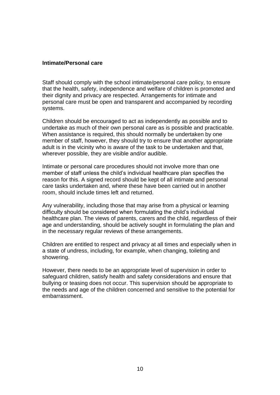#### **Intimate/Personal care**

Staff should comply with the school intimate/personal care policy, to ensure that the health, safety, independence and welfare of children is promoted and their dignity and privacy are respected. Arrangements for intimate and personal care must be open and transparent and accompanied by recording systems.

Children should be encouraged to act as independently as possible and to undertake as much of their own personal care as is possible and practicable. When assistance is required, this should normally be undertaken by one member of staff, however, they should try to ensure that another appropriate adult is in the vicinity who is aware of the task to be undertaken and that, wherever possible, they are visible and/or audible.

Intimate or personal care procedures should not involve more than one member of staff unless the child's individual healthcare plan specifies the reason for this. A signed record should be kept of all intimate and personal care tasks undertaken and, where these have been carried out in another room, should include times left and returned.

Any vulnerability, including those that may arise from a physical or learning difficulty should be considered when formulating the child's individual healthcare plan. The views of parents, carers and the child, regardless of their age and understanding, should be actively sought in formulating the plan and in the necessary regular reviews of these arrangements.

Children are entitled to respect and privacy at all times and especially when in a state of undress, including, for example, when changing, toileting and showering.

However, there needs to be an appropriate level of supervision in order to safeguard children, satisfy health and safety considerations and ensure that bullying or teasing does not occur. This supervision should be appropriate to the needs and age of the children concerned and sensitive to the potential for embarrassment.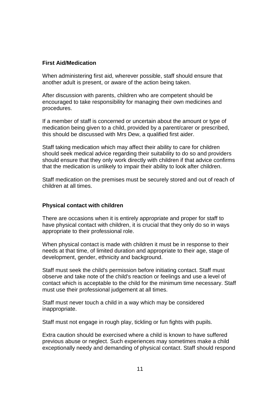#### **First Aid/Medication**

When administering first aid, wherever possible, staff should ensure that another adult is present, or aware of the action being taken.

After discussion with parents, children who are competent should be encouraged to take responsibility for managing their own medicines and procedures.

If a member of staff is concerned or uncertain about the amount or type of medication being given to a child, provided by a parent/carer or prescribed, this should be discussed with Mrs Dew, a qualified first aider.

Staff taking medication which may affect their ability to care for children should seek medical advice regarding their suitability to do so and providers should ensure that they only work directly with children if that advice confirms that the medication is unlikely to impair their ability to look after children.

Staff medication on the premises must be securely stored and out of reach of children at all times.

#### **Physical contact with children**

There are occasions when it is entirely appropriate and proper for staff to have physical contact with children, it is crucial that they only do so in ways appropriate to their professional role.

When physical contact is made with children it must be in response to their needs at that time, of limited duration and appropriate to their age, stage of development, gender, ethnicity and background.

Staff must seek the child's permission before initiating contact. Staff must observe and take note of the child's reaction or feelings and use a level of contact which is acceptable to the child for the minimum time necessary. Staff must use their professional judgement at all times.

Staff must never touch a child in a way which may be considered inappropriate.

Staff must not engage in rough play, tickling or fun fights with pupils.

Extra caution should be exercised where a child is known to have suffered previous abuse or neglect. Such experiences may sometimes make a child exceptionally needy and demanding of physical contact. Staff should respond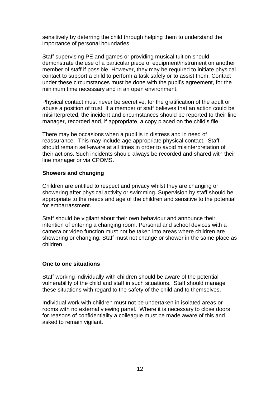sensitively by deterring the child through helping them to understand the importance of personal boundaries.

Staff supervising PE and games or providing musical tuition should demonstrate the use of a particular piece of equipment/instrument on another member of staff if possible. However, they may be required to initiate physical contact to support a child to perform a task safely or to assist them. Contact under these circumstances must be done with the pupil's agreement, for the minimum time necessary and in an open environment.

Physical contact must never be secretive, for the gratification of the adult or abuse a position of trust. If a member of staff believes that an action could be misinterpreted, the incident and circumstances should be reported to their line manager, recorded and, if appropriate, a copy placed on the child's file.

There may be occasions when a pupil is in distress and in need of reassurance. This may include age appropriate physical contact. Staff should remain self-aware at all times in order to avoid misinterpretation of their actions. Such incidents should always be recorded and shared with their line manager or via CPOMS.

#### **Showers and changing**

Children are entitled to respect and privacy whilst they are changing or showering after physical activity or swimming. Supervision by staff should be appropriate to the needs and age of the children and sensitive to the potential for embarrassment.

Staff should be vigilant about their own behaviour and announce their intention of entering a changing room. Personal and school devices with a camera or video function must not be taken into areas where children are showering or changing. Staff must not change or shower in the same place as children.

#### **One to one situations**

Staff working individually with children should be aware of the potential vulnerability of the child and staff in such situations. Staff should manage these situations with regard to the safety of the child and to themselves.

Individual work with children must not be undertaken in isolated areas or rooms with no external viewing panel. Where it is necessary to close doors for reasons of confidentiality a colleague must be made aware of this and asked to remain vigilant.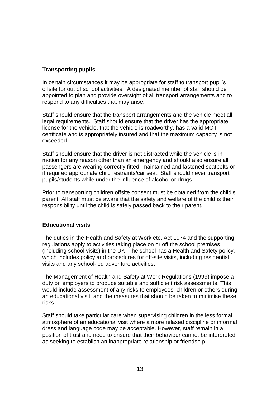## **Transporting pupils**

In certain circumstances it may be appropriate for staff to transport pupil's offsite for out of school activities. A designated member of staff should be appointed to plan and provide oversight of all transport arrangements and to respond to any difficulties that may arise.

Staff should ensure that the transport arrangements and the vehicle meet all legal requirements. Staff should ensure that the driver has the appropriate license for the vehicle, that the vehicle is roadworthy, has a valid MOT certificate and is appropriately insured and that the maximum capacity is not exceeded.

Staff should ensure that the driver is not distracted while the vehicle is in motion for any reason other than an emergency and should also ensure all passengers are wearing correctly fitted, maintained and fastened seatbelts or if required appropriate child restraints/car seat. Staff should never transport pupils/students while under the influence of alcohol or drugs.

Prior to transporting children offsite consent must be obtained from the child's parent. All staff must be aware that the safety and welfare of the child is their responsibility until the child is safely passed back to their parent.

## **Educational visits**

The duties in the Health and Safety at Work etc. Act 1974 and the supporting regulations apply to activities taking place on or off the school premises (including school visits) in the UK. The school has a Health and Safety policy, which includes policy and procedures for off-site visits, including residential visits and any school-led adventure activities.

The Management of Health and Safety at Work Regulations (1999) impose a duty on employers to produce suitable and sufficient risk assessments. This would include assessment of any risks to employees, children or others during an educational visit, and the measures that should be taken to minimise these risks.

Staff should take particular care when supervising children in the less formal atmosphere of an educational visit where a more relaxed discipline or informal dress and language code may be acceptable. However, staff remain in a position of trust and need to ensure that their behaviour cannot be interpreted as seeking to establish an inappropriate relationship or friendship.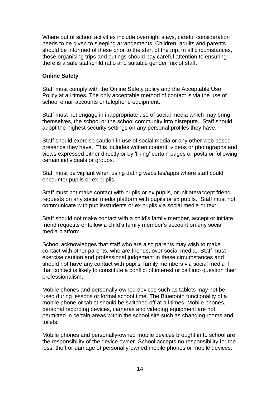Where out of school activities include overnight stays, careful consideration needs to be given to sleeping arrangements. Children, adults and parents should be informed of these prior to the start of the trip. In all circumstances, those organising trips and outings should pay careful attention to ensuring there is a safe staff/child ratio and suitable gender mix of staff.

#### **Online Safety**

Staff must comply with the Online Safety policy and the Acceptable Use Policy at all times. The only acceptable method of contact is via the use of school email accounts or telephone equipment.

Staff must not engage in inappropriate use of social media which may bring themselves, the school or the school community into disrepute. Staff should adopt the highest security settings on any personal profiles they have.

Staff should exercise caution in use of social media or any other web based presence they have. This includes written content, videos or photographs and views expressed either directly or by 'liking' certain pages or posts or following certain individuals or groups.

Staff must be vigilant when using dating websites/apps where staff could encounter pupils or ex pupils.

Staff must not make contact with pupils or ex pupils, or initiate/accept friend requests on any social media platform with pupils or ex pupils. Staff must not communicate with pupils/students or ex pupils via social media or text.

Staff should not make contact with a child's family member, accept or initiate friend requests or follow a child's family member's account on any social media platform.

School acknowledges that staff who are also parents may wish to make contact with other parents, who are friends, over social media. Staff must exercise caution and professional judgement in these circumstances and should not have any contact with pupils' family members via social media if that contact is likely to constitute a conflict of interest or call into question their professionalism.

Mobile phones and personally-owned devices such as tablets may not be used during lessons or formal school time. The Bluetooth functionality of a mobile phone or tablet should be switched off at all times. Mobile phones, personal recording devices, cameras and videoing equipment are not permitted in certain areas within the school site such as changing rooms and toilets.

Mobile phones and personally-owned mobile devices brought in to school are the responsibility of the device owner. School accepts no responsibility for the loss, theft or damage of personally-owned mobile phones or mobile devices.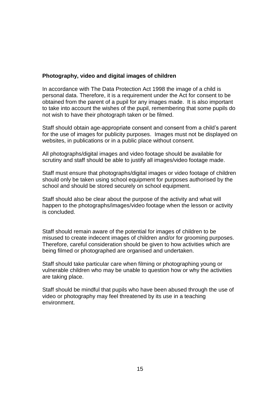#### **Photography, video and digital images of children**

In accordance with The Data Protection Act 1998 the image of a child is personal data. Therefore, it is a requirement under the Act for consent to be obtained from the parent of a pupil for any images made. It is also important to take into account the wishes of the pupil, remembering that some pupils do not wish to have their photograph taken or be filmed.

Staff should obtain age-appropriate consent and consent from a child's parent for the use of images for publicity purposes. Images must not be displayed on websites, in publications or in a public place without consent.

All photographs/digital images and video footage should be available for scrutiny and staff should be able to justify all images/video footage made.

Staff must ensure that photographs/digital images or video footage of children should only be taken using school equipment for purposes authorised by the school and should be stored securely on school equipment.

Staff should also be clear about the purpose of the activity and what will happen to the photographs/images/video footage when the lesson or activity is concluded.

Staff should remain aware of the potential for images of children to be misused to create indecent images of children and/or for grooming purposes. Therefore, careful consideration should be given to how activities which are being filmed or photographed are organised and undertaken.

Staff should take particular care when filming or photographing young or vulnerable children who may be unable to question how or why the activities are taking place.

Staff should be mindful that pupils who have been abused through the use of video or photography may feel threatened by its use in a teaching environment.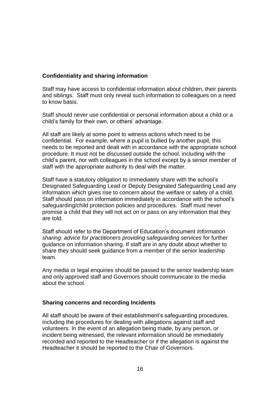## **Confidentiality and sharing information**

Staff may have access to confidential information about children, their parents and siblings. Staff must only reveal such information to colleagues on a need to know basis.

Staff should never use confidential or personal information about a child or a child's family for their own, or others' advantage.

All staff are likely at some point to witness actions which need to be confidential. For example, where a pupil is bullied by another pupil, this needs to be reported and dealt with in accordance with the appropriate school procedure. It must not be discussed outside the school, including with the child's parent, nor with colleagues in the school except by a senior member of staff with the appropriate authority to deal with the matter.

Staff have a statutory obligation to immediately share with the school's Designated Safeguarding Lead or Deputy Designated Safeguarding Lead any information which gives rise to concern about the welfare or safety of a child. Staff should pass on information immediately in accordance with the school's safeguarding/child protection policies and procedures. Staff must never promise a child that they will not act on or pass on any information that they are told.

Staff should refer to the Department of Education's document *Information sharing: advice for practitioners providing safeguarding services* for further guidance on information sharing. If staff are in any doubt about whether to share they should seek guidance from a member of the senior leadership team.

Any media or legal enquiries should be passed to the senior leadership team and only approved staff and Governors should communicate to the media about the school.

#### **Sharing concerns and recording Incidents**

All staff should be aware of their establishment's safeguarding procedures, including the procedures for dealing with allegations against staff and volunteers. In the event of an allegation being made, by any person, or incident being witnessed, the relevant information should be immediately recorded and reported to the Headteacher or if the allegation is against the Headteacher it should be reported to the Chair of Governors.